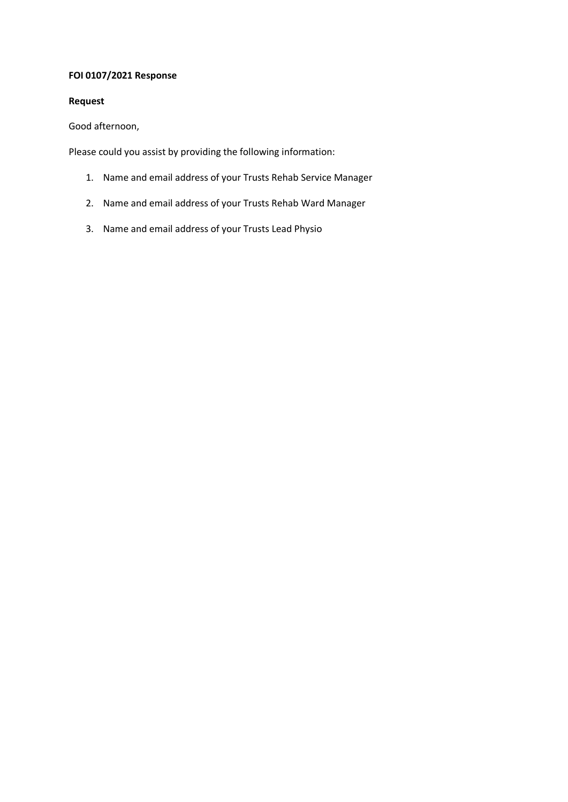# **FOI 0107/2021 Response**

# **Request**

Good afternoon,

Please could you assist by providing the following information:

- 1. Name and email address of your Trusts Rehab Service Manager
- 2. Name and email address of your Trusts Rehab Ward Manager
- 3. Name and email address of your Trusts Lead Physio